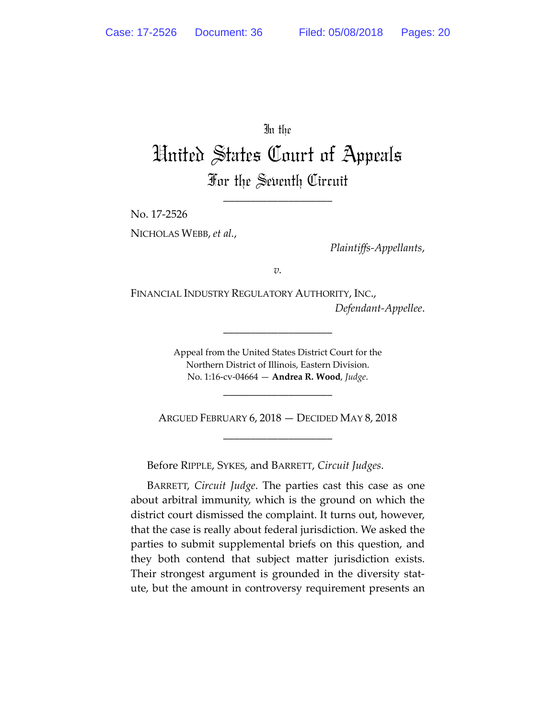In the

# United States Court of Appeals For the Seventh Circuit

\_\_\_\_\_\_\_\_\_\_\_\_\_\_\_\_\_\_\_\_

No. 17-2526

NICHOLAS WEBB, *et al.*,

*Plaintiffs-Appellants*,

*v.*

FINANCIAL INDUSTRY REGULATORY AUTHORITY, INC., *Defendant-Appellee*.

> Appeal from the United States District Court for the Northern District of Illinois, Eastern Division. No. 1:16-cv-04664 — **Andrea R. Wood**, *Judge*.

\_\_\_\_\_\_\_\_\_\_\_\_\_\_\_\_\_\_\_\_

ARGUED FEBRUARY 6, 2018 — DECIDED MAY 8, 2018 \_\_\_\_\_\_\_\_\_\_\_\_\_\_\_\_\_\_\_\_

\_\_\_\_\_\_\_\_\_\_\_\_\_\_\_\_\_\_\_\_

Before RIPPLE, SYKES, and BARRETT, *Circuit Judges*.

BARRETT, *Circuit Judge*. The parties cast this case as one about arbitral immunity, which is the ground on which the district court dismissed the complaint. It turns out, however, that the case is really about federal jurisdiction. We asked the parties to submit supplemental briefs on this question, and they both contend that subject matter jurisdiction exists. Their strongest argument is grounded in the diversity statute, but the amount in controversy requirement presents an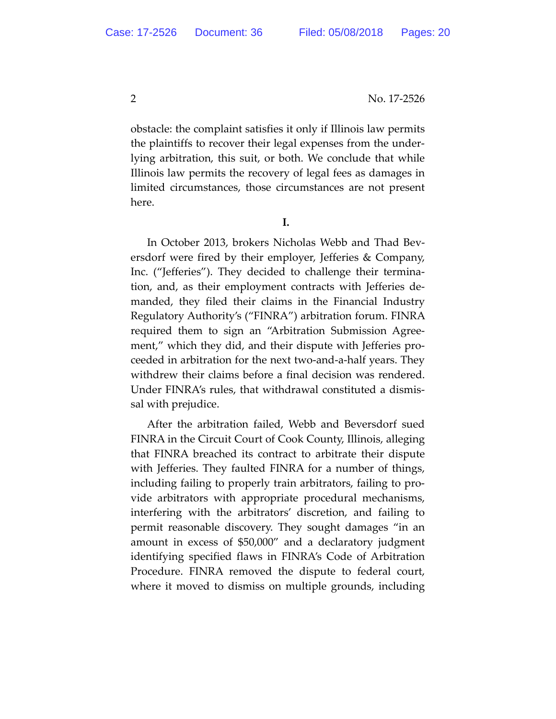obstacle: the complaint satisfies it only if Illinois law permits the plaintiffs to recover their legal expenses from the underlying arbitration, this suit, or both. We conclude that while Illinois law permits the recovery of legal fees as damages in limited circumstances, those circumstances are not present here.

**I.** 

In October 2013, brokers Nicholas Webb and Thad Beversdorf were fired by their employer, Jefferies & Company, Inc. ("Jefferies"). They decided to challenge their termination, and, as their employment contracts with Jefferies demanded, they filed their claims in the Financial Industry Regulatory Authority's ("FINRA") arbitration forum. FINRA required them to sign an "Arbitration Submission Agreement," which they did, and their dispute with Jefferies proceeded in arbitration for the next two-and-a-half years. They withdrew their claims before a final decision was rendered. Under FINRA's rules, that withdrawal constituted a dismissal with prejudice.

After the arbitration failed, Webb and Beversdorf sued FINRA in the Circuit Court of Cook County, Illinois, alleging that FINRA breached its contract to arbitrate their dispute with Jefferies. They faulted FINRA for a number of things, including failing to properly train arbitrators, failing to provide arbitrators with appropriate procedural mechanisms, interfering with the arbitrators' discretion, and failing to permit reasonable discovery. They sought damages "in an amount in excess of \$50,000" and a declaratory judgment identifying specified flaws in FINRA's Code of Arbitration Procedure. FINRA removed the dispute to federal court, where it moved to dismiss on multiple grounds, including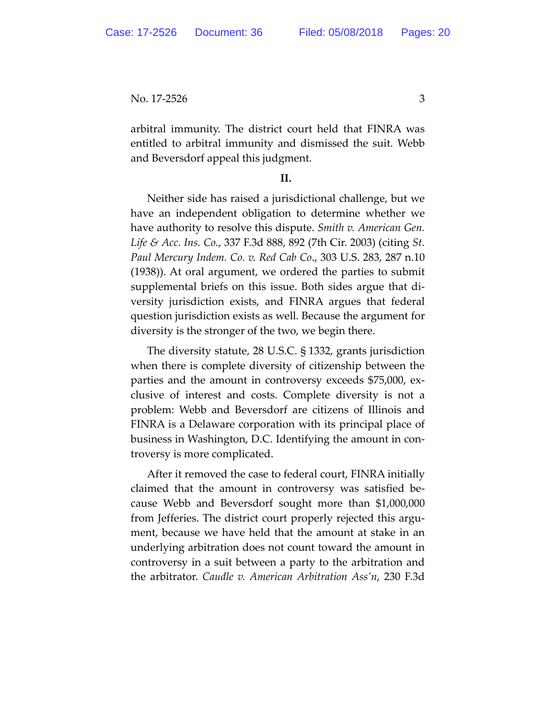arbitral immunity. The district court held that FINRA was entitled to arbitral immunity and dismissed the suit. Webb and Beversdorf appeal this judgment.

## **II.**

Neither side has raised a jurisdictional challenge, but we have an independent obligation to determine whether we have authority to resolve this dispute. *Smith v. American Gen. Life & Acc. Ins. Co.*, 337 F.3d 888, 892 (7th Cir. 2003) (citing *St. Paul Mercury Indem. Co. v. Red Cab Co*., 303 U.S. 283, 287 n.10 (1938)). At oral argument, we ordered the parties to submit supplemental briefs on this issue. Both sides argue that diversity jurisdiction exists, and FINRA argues that federal question jurisdiction exists as well. Because the argument for diversity is the stronger of the two, we begin there.

The diversity statute, 28 U.S.C. § 1332, grants jurisdiction when there is complete diversity of citizenship between the parties and the amount in controversy exceeds \$75,000, exclusive of interest and costs. Complete diversity is not a problem: Webb and Beversdorf are citizens of Illinois and FINRA is a Delaware corporation with its principal place of business in Washington, D.C. Identifying the amount in controversy is more complicated.

After it removed the case to federal court, FINRA initially claimed that the amount in controversy was satisfied because Webb and Beversdorf sought more than \$1,000,000 from Jefferies. The district court properly rejected this argument, because we have held that the amount at stake in an underlying arbitration does not count toward the amount in controversy in a suit between a party to the arbitration and the arbitrator. *Caudle v. American Arbitration Ass'n*, 230 F.3d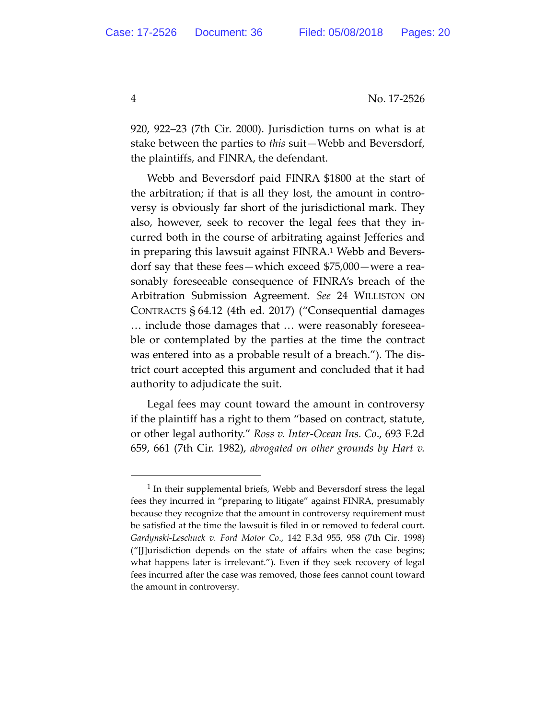920, 922–23 (7th Cir. 2000). Jurisdiction turns on what is at stake between the parties to *this* suit—Webb and Beversdorf, the plaintiffs, and FINRA, the defendant.

Webb and Beversdorf paid FINRA \$1800 at the start of the arbitration; if that is all they lost, the amount in controversy is obviously far short of the jurisdictional mark. They also, however, seek to recover the legal fees that they incurred both in the course of arbitrating against Jefferies and in preparing this lawsuit against FINRA.1 Webb and Beversdorf say that these fees—which exceed \$75,000—were a reasonably foreseeable consequence of FINRA's breach of the Arbitration Submission Agreement. *See* 24 WILLISTON ON CONTRACTS § 64.12 (4th ed. 2017) ("Consequential damages … include those damages that … were reasonably foreseeable or contemplated by the parties at the time the contract was entered into as a probable result of a breach."). The district court accepted this argument and concluded that it had authority to adjudicate the suit.

Legal fees may count toward the amount in controversy if the plaintiff has a right to them "based on contract, statute, or other legal authority." *Ross v. Inter-Ocean Ins. Co*., 693 F.2d 659, 661 (7th Cir. 1982), *abrogated on other grounds by Hart v.* 

<sup>&</sup>lt;sup>1</sup> In their supplemental briefs, Webb and Beversdorf stress the legal fees they incurred in "preparing to litigate" against FINRA, presumably because they recognize that the amount in controversy requirement must be satisfied at the time the lawsuit is filed in or removed to federal court. *Gardynski-Leschuck v. Ford Motor Co*., 142 F.3d 955, 958 (7th Cir. 1998) ("[J]urisdiction depends on the state of affairs when the case begins; what happens later is irrelevant."). Even if they seek recovery of legal fees incurred after the case was removed, those fees cannot count toward the amount in controversy.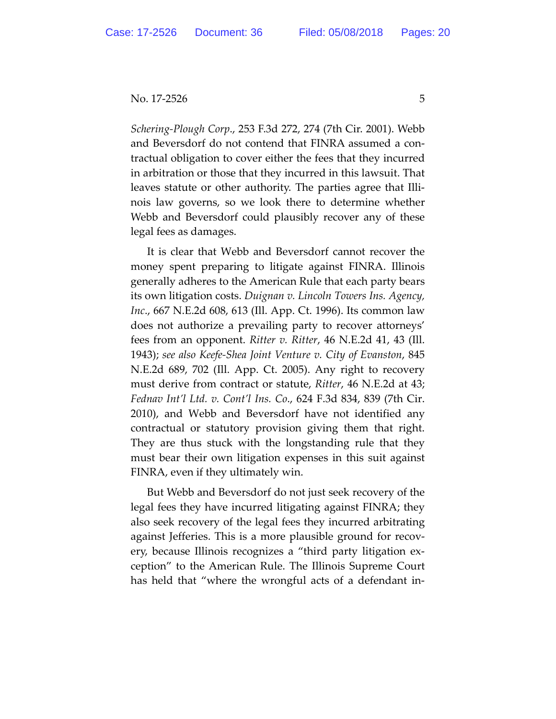*Schering-Plough Corp*., 253 F.3d 272, 274 (7th Cir. 2001). Webb and Beversdorf do not contend that FINRA assumed a contractual obligation to cover either the fees that they incurred in arbitration or those that they incurred in this lawsuit. That leaves statute or other authority. The parties agree that Illinois law governs, so we look there to determine whether Webb and Beversdorf could plausibly recover any of these legal fees as damages.

It is clear that Webb and Beversdorf cannot recover the money spent preparing to litigate against FINRA. Illinois generally adheres to the American Rule that each party bears its own litigation costs. *Duignan v. Lincoln Towers Ins. Agency, Inc*., 667 N.E.2d 608, 613 (Ill. App. Ct. 1996). Its common law does not authorize a prevailing party to recover attorneys' fees from an opponent. *Ritter v. Ritter*, 46 N.E.2d 41, 43 (Ill. 1943); *see also Keefe-Shea Joint Venture v. City of Evanston*, 845 N.E.2d 689, 702 (Ill. App. Ct. 2005). Any right to recovery must derive from contract or statute, *Ritter*, 46 N.E.2d at 43; *Fednav Int'l Ltd. v. Cont'l Ins. Co*., 624 F.3d 834, 839 (7th Cir. 2010), and Webb and Beversdorf have not identified any contractual or statutory provision giving them that right. They are thus stuck with the longstanding rule that they must bear their own litigation expenses in this suit against FINRA, even if they ultimately win.

But Webb and Beversdorf do not just seek recovery of the legal fees they have incurred litigating against FINRA; they also seek recovery of the legal fees they incurred arbitrating against Jefferies. This is a more plausible ground for recovery, because Illinois recognizes a "third party litigation exception" to the American Rule. The Illinois Supreme Court has held that "where the wrongful acts of a defendant in-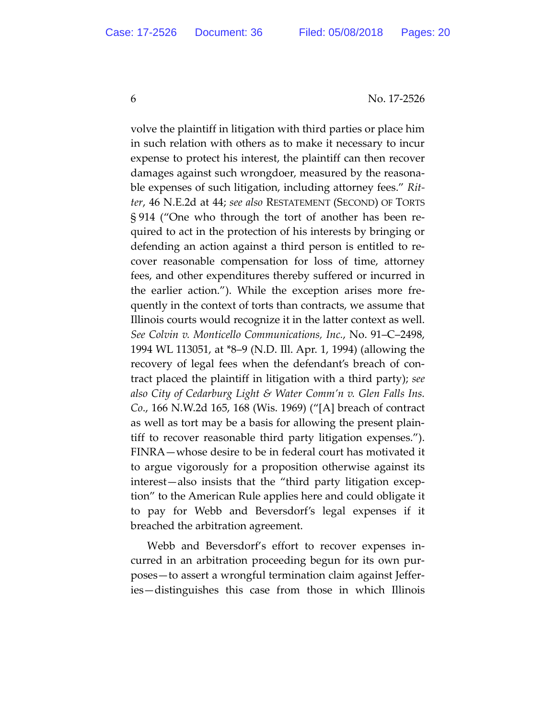volve the plaintiff in litigation with third parties or place him in such relation with others as to make it necessary to incur expense to protect his interest, the plaintiff can then recover damages against such wrongdoer, measured by the reasonable expenses of such litigation, including attorney fees." *Ritter*, 46 N.E.2d at 44; *see also* RESTATEMENT (SECOND) OF TORTS § 914 ("One who through the tort of another has been required to act in the protection of his interests by bringing or defending an action against a third person is entitled to recover reasonable compensation for loss of time, attorney fees, and other expenditures thereby suffered or incurred in the earlier action."). While the exception arises more frequently in the context of torts than contracts, we assume that Illinois courts would recognize it in the latter context as well. *See Colvin v. Monticello Communications, Inc.*, No. 91–C–2498, 1994 WL 113051, at \*8–9 (N.D. Ill. Apr. 1, 1994) (allowing the recovery of legal fees when the defendant's breach of contract placed the plaintiff in litigation with a third party); *see also City of Cedarburg Light & Water Comm'n v. Glen Falls Ins. Co*., 166 N.W.2d 165, 168 (Wis. 1969) ("[A] breach of contract as well as tort may be a basis for allowing the present plaintiff to recover reasonable third party litigation expenses."). FINRA—whose desire to be in federal court has motivated it to argue vigorously for a proposition otherwise against its interest—also insists that the "third party litigation exception" to the American Rule applies here and could obligate it to pay for Webb and Beversdorf's legal expenses if it breached the arbitration agreement.

Webb and Beversdorf's effort to recover expenses incurred in an arbitration proceeding begun for its own purposes—to assert a wrongful termination claim against Jefferies—distinguishes this case from those in which Illinois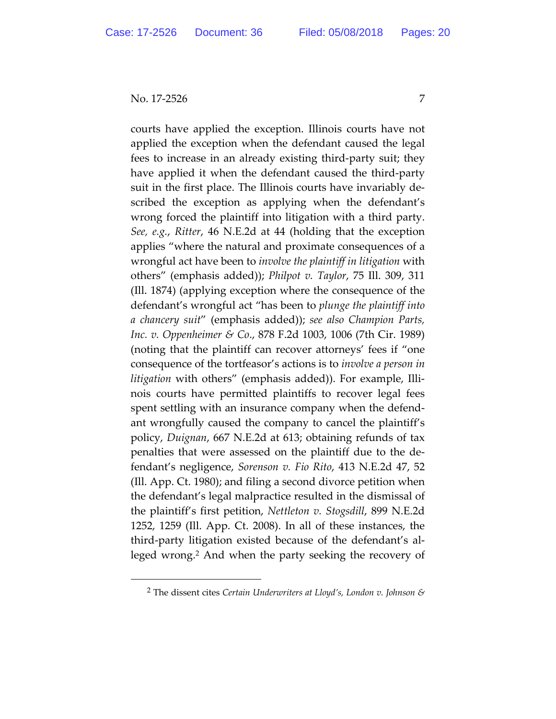courts have applied the exception. Illinois courts have not applied the exception when the defendant caused the legal fees to increase in an already existing third-party suit; they have applied it when the defendant caused the third-party suit in the first place. The Illinois courts have invariably described the exception as applying when the defendant's wrong forced the plaintiff into litigation with a third party. *See, e.g.*, *Ritter*, 46 N.E.2d at 44 (holding that the exception applies "where the natural and proximate consequences of a wrongful act have been to *involve the plaintiff in litigation* with others" (emphasis added)); *Philpot v. Taylor*, 75 Ill. 309, 311 (Ill. 1874) (applying exception where the consequence of the defendant's wrongful act "has been to *plunge the plaintiff into a chancery suit*" (emphasis added)); *see also Champion Parts, Inc. v. Oppenheimer & Co*., 878 F.2d 1003, 1006 (7th Cir. 1989) (noting that the plaintiff can recover attorneys' fees if "one consequence of the tortfeasor's actions is to *involve a person in litigation* with others" (emphasis added)). For example, Illinois courts have permitted plaintiffs to recover legal fees spent settling with an insurance company when the defendant wrongfully caused the company to cancel the plaintiff's policy, *Duignan*, 667 N.E.2d at 613; obtaining refunds of tax penalties that were assessed on the plaintiff due to the defendant's negligence, *Sorenson v. Fio Rito*, 413 N.E.2d 47, 52 (Ill. App. Ct. 1980); and filing a second divorce petition when the defendant's legal malpractice resulted in the dismissal of the plaintiff's first petition, *Nettleton v. Stogsdill*, 899 N.E.2d 1252, 1259 (Ill. App. Ct. 2008). In all of these instances, the third-party litigation existed because of the defendant's alleged wrong.2 And when the party seeking the recovery of

 <sup>2</sup> The dissent cites *Certain Underwriters at Lloyd's, London v. Johnson &*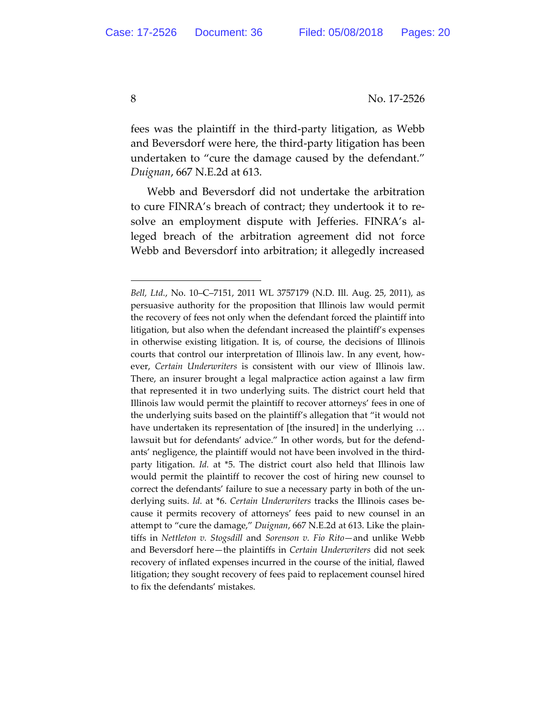fees was the plaintiff in the third-party litigation, as Webb and Beversdorf were here, the third-party litigation has been undertaken to "cure the damage caused by the defendant." *Duignan*, 667 N.E.2d at 613.

Webb and Beversdorf did not undertake the arbitration to cure FINRA's breach of contract; they undertook it to resolve an employment dispute with Jefferies. FINRA's alleged breach of the arbitration agreement did not force Webb and Beversdorf into arbitration; it allegedly increased

 $\overline{a}$ 

*Bell, Ltd.*, No. 10–C–7151, 2011 WL 3757179 (N.D. Ill. Aug. 25, 2011), as persuasive authority for the proposition that Illinois law would permit the recovery of fees not only when the defendant forced the plaintiff into litigation, but also when the defendant increased the plaintiff's expenses in otherwise existing litigation. It is, of course, the decisions of Illinois courts that control our interpretation of Illinois law. In any event, however, *Certain Underwriters* is consistent with our view of Illinois law. There, an insurer brought a legal malpractice action against a law firm that represented it in two underlying suits. The district court held that Illinois law would permit the plaintiff to recover attorneys' fees in one of the underlying suits based on the plaintiff's allegation that "it would not have undertaken its representation of [the insured] in the underlying … lawsuit but for defendants' advice." In other words, but for the defendants' negligence, the plaintiff would not have been involved in the thirdparty litigation. *Id.* at \*5. The district court also held that Illinois law would permit the plaintiff to recover the cost of hiring new counsel to correct the defendants' failure to sue a necessary party in both of the underlying suits. *Id.* at \*6. *Certain Underwriters* tracks the Illinois cases because it permits recovery of attorneys' fees paid to new counsel in an attempt to "cure the damage," *Duignan*, 667 N.E.2d at 613. Like the plaintiffs in *Nettleton v. Stogsdill* and *Sorenson v. Fio Rito*—and unlike Webb and Beversdorf here—the plaintiffs in *Certain Underwriters* did not seek recovery of inflated expenses incurred in the course of the initial, flawed litigation; they sought recovery of fees paid to replacement counsel hired to fix the defendants' mistakes.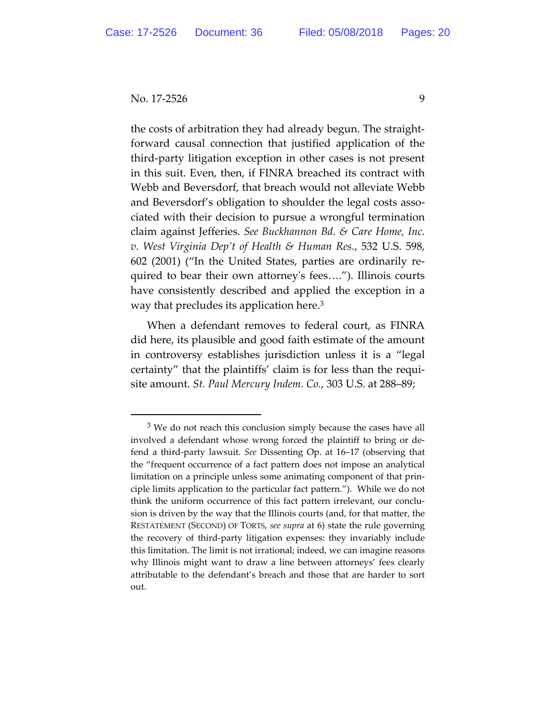the costs of arbitration they had already begun. The straightforward causal connection that justified application of the third-party litigation exception in other cases is not present in this suit. Even, then, if FINRA breached its contract with Webb and Beversdorf, that breach would not alleviate Webb and Beversdorf's obligation to shoulder the legal costs associated with their decision to pursue a wrongful termination claim against Jefferies. *See Buckhannon Bd. & Care Home, Inc. v. West Virginia Dep't of Health & Human Res.*, 532 U.S. 598, 602 (2001) ("In the United States, parties are ordinarily required to bear their own attorney's fees…."). Illinois courts have consistently described and applied the exception in a way that precludes its application here.<sup>3</sup>

When a defendant removes to federal court, as FINRA did here, its plausible and good faith estimate of the amount in controversy establishes jurisdiction unless it is a "legal certainty" that the plaintiffs' claim is for less than the requisite amount. *St. Paul Mercury Indem. Co.*, 303 U.S. at 288–89;

 $3$  We do not reach this conclusion simply because the cases have all involved a defendant whose wrong forced the plaintiff to bring or defend a third-party lawsuit. *See* Dissenting Op. at 16–17 (observing that the "frequent occurrence of a fact pattern does not impose an analytical limitation on a principle unless some animating component of that principle limits application to the particular fact pattern."). While we do not think the uniform occurrence of this fact pattern irrelevant, our conclusion is driven by the way that the Illinois courts (and, for that matter, the RESTATEMENT (SECOND) OF TORTS, *see supra* at 6) state the rule governing the recovery of third-party litigation expenses: they invariably include this limitation. The limit is not irrational; indeed, we can imagine reasons why Illinois might want to draw a line between attorneys' fees clearly attributable to the defendant's breach and those that are harder to sort out.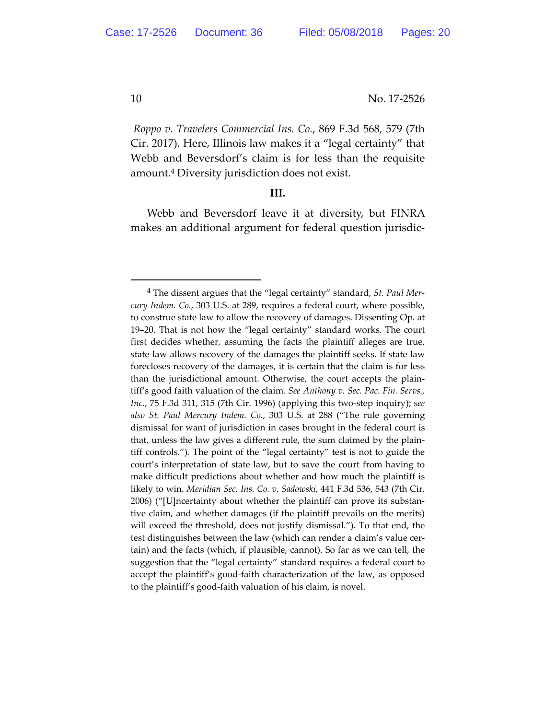*Roppo v. Travelers Commercial Ins. Co.*, 869 F.3d 568, 579 (7th Cir. 2017). Here, Illinois law makes it a "legal certainty" that Webb and Beversdorf's claim is for less than the requisite amount.4 Diversity jurisdiction does not exist.

## **III.**

Webb and Beversdorf leave it at diversity, but FINRA makes an additional argument for federal question jurisdic-

 <sup>4</sup> The dissent argues that the "legal certainty" standard, *St. Paul Mercury Indem. Co.*, 303 U.S. at 289, requires a federal court, where possible, to construe state law to allow the recovery of damages. Dissenting Op. at 19–20. That is not how the "legal certainty" standard works. The court first decides whether, assuming the facts the plaintiff alleges are true, state law allows recovery of the damages the plaintiff seeks. If state law forecloses recovery of the damages, it is certain that the claim is for less than the jurisdictional amount. Otherwise, the court accepts the plaintiff's good faith valuation of the claim. *See Anthony v. Sec. Pac. Fin. Servs., Inc.*, 75 F.3d 311, 315 (7th Cir. 1996) (applying this two-step inquiry); s*ee also St. Paul Mercury Indem. Co.*, 303 U.S. at 288 ("The rule governing dismissal for want of jurisdiction in cases brought in the federal court is that, unless the law gives a different rule, the sum claimed by the plaintiff controls."). The point of the "legal certainty" test is not to guide the court's interpretation of state law, but to save the court from having to make difficult predictions about whether and how much the plaintiff is likely to win. *Meridian Sec. Ins. Co. v. Sadowski*, 441 F.3d 536, 543 (7th Cir. 2006) ("[U]ncertainty about whether the plaintiff can prove its substantive claim, and whether damages (if the plaintiff prevails on the merits) will exceed the threshold, does not justify dismissal."). To that end, the test distinguishes between the law (which can render a claim's value certain) and the facts (which, if plausible, cannot). So far as we can tell, the suggestion that the "legal certainty" standard requires a federal court to accept the plaintiff's good-faith characterization of the law, as opposed to the plaintiff's good-faith valuation of his claim, is novel.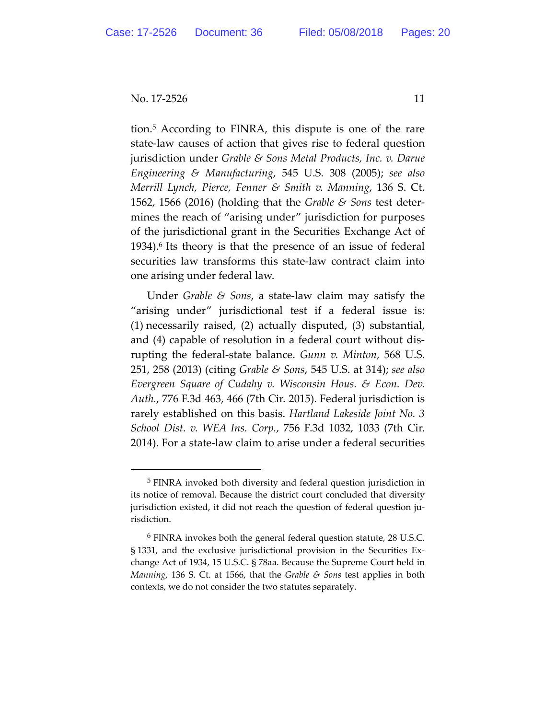tion.5 According to FINRA, this dispute is one of the rare state-law causes of action that gives rise to federal question jurisdiction under *Grable & Sons Metal Products, Inc. v. Darue Engineering & Manufacturing*, 545 U.S. 308 (2005); *see also Merrill Lynch, Pierce, Fenner & Smith v. Manning*, 136 S. Ct. 1562, 1566 (2016) (holding that the *Grable & Sons* test determines the reach of "arising under" jurisdiction for purposes of the jurisdictional grant in the Securities Exchange Act of 1934).6 Its theory is that the presence of an issue of federal securities law transforms this state-law contract claim into one arising under federal law.

Under *Grable & Sons*, a state-law claim may satisfy the "arising under" jurisdictional test if a federal issue is: (1) necessarily raised, (2) actually disputed, (3) substantial, and (4) capable of resolution in a federal court without disrupting the federal-state balance. *Gunn v. Minton*, 568 U.S. 251, 258 (2013) (citing *Grable & Sons*, 545 U.S. at 314); *see also Evergreen Square of Cudahy v. Wisconsin Hous. & Econ. Dev. Auth.*, 776 F.3d 463, 466 (7th Cir. 2015). Federal jurisdiction is rarely established on this basis. *Hartland Lakeside Joint No. 3 School Dist. v. WEA Ins. Corp.*, 756 F.3d 1032, 1033 (7th Cir. 2014). For a state-law claim to arise under a federal securities

 <sup>5</sup> FINRA invoked both diversity and federal question jurisdiction in its notice of removal. Because the district court concluded that diversity jurisdiction existed, it did not reach the question of federal question jurisdiction.

<sup>6</sup> FINRA invokes both the general federal question statute, 28 U.S.C. § 1331, and the exclusive jurisdictional provision in the Securities Exchange Act of 1934, 15 U.S.C. § 78aa. Because the Supreme Court held in *Manning*, 136 S. Ct. at 1566, that the *Grable & Sons* test applies in both contexts, we do not consider the two statutes separately.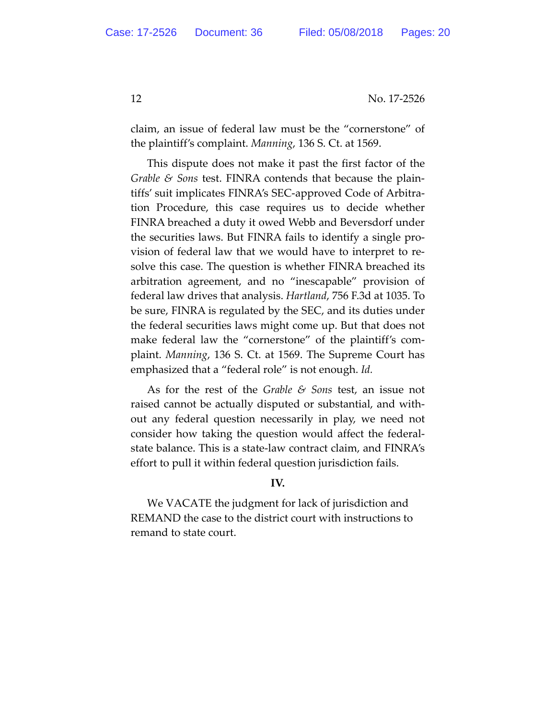claim, an issue of federal law must be the "cornerstone" of the plaintiff's complaint. *Manning*, 136 S. Ct. at 1569.

This dispute does not make it past the first factor of the *Grable & Sons* test. FINRA contends that because the plaintiffs' suit implicates FINRA's SEC-approved Code of Arbitration Procedure, this case requires us to decide whether FINRA breached a duty it owed Webb and Beversdorf under the securities laws. But FINRA fails to identify a single provision of federal law that we would have to interpret to resolve this case. The question is whether FINRA breached its arbitration agreement, and no "inescapable" provision of federal law drives that analysis. *Hartland*, 756 F.3d at 1035. To be sure, FINRA is regulated by the SEC, and its duties under the federal securities laws might come up. But that does not make federal law the "cornerstone" of the plaintiff's complaint. *Manning*, 136 S. Ct. at 1569. The Supreme Court has emphasized that a "federal role" is not enough. *Id.*

As for the rest of the *Grable & Sons* test, an issue not raised cannot be actually disputed or substantial, and without any federal question necessarily in play, we need not consider how taking the question would affect the federalstate balance. This is a state-law contract claim, and FINRA's effort to pull it within federal question jurisdiction fails.

## **IV.**

We VACATE the judgment for lack of jurisdiction and REMAND the case to the district court with instructions to remand to state court.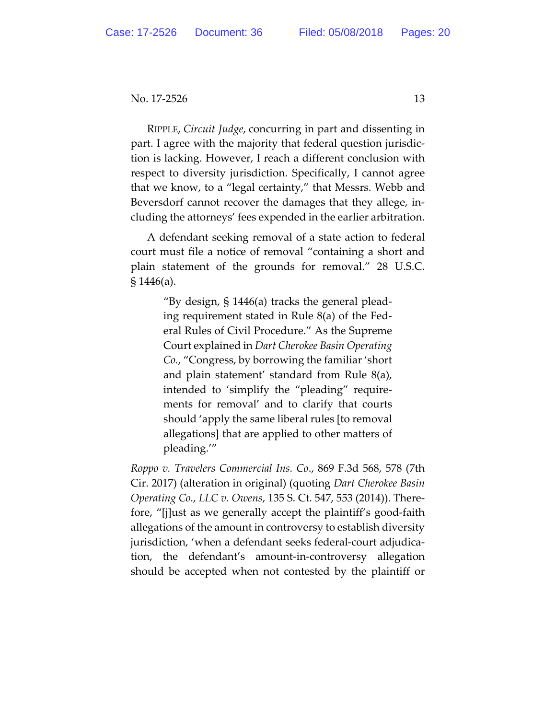RIPPLE, *Circuit Judge*, concurring in part and dissenting in part. I agree with the majority that federal question jurisdiction is lacking. However, I reach a different conclusion with respect to diversity jurisdiction. Specifically, I cannot agree that we know, to a "legal certainty," that Messrs. Webb and Beversdorf cannot recover the damages that they allege, including the attorneys' fees expended in the earlier arbitration.

A defendant seeking removal of a state action to federal court must file a notice of removal "containing a short and plain statement of the grounds for removal." 28 U.S.C. § 1446(a).

> "By design, § 1446(a) tracks the general pleading requirement stated in Rule 8(a) of the Federal Rules of Civil Procedure." As the Supreme Court explained in *Dart Cherokee Basin Operating Co.*, "Congress, by borrowing the familiar 'short and plain statement' standard from Rule 8(a), intended to 'simplify the "pleading" requirements for removal' and to clarify that courts should 'apply the same liberal rules [to removal allegations] that are applied to other matters of pleading.'"

*Roppo v. Travelers Commercial Ins. Co*., 869 F.3d 568, 578 (7th Cir. 2017) (alteration in original) (quoting *Dart Cherokee Basin Operating Co., LLC v. Owens*, 135 S. Ct. 547, 553 (2014)). Therefore, "[j]ust as we generally accept the plaintiff's good-faith allegations of the amount in controversy to establish diversity jurisdiction, 'when a defendant seeks federal-court adjudication, the defendant's amount-in-controversy allegation should be accepted when not contested by the plaintiff or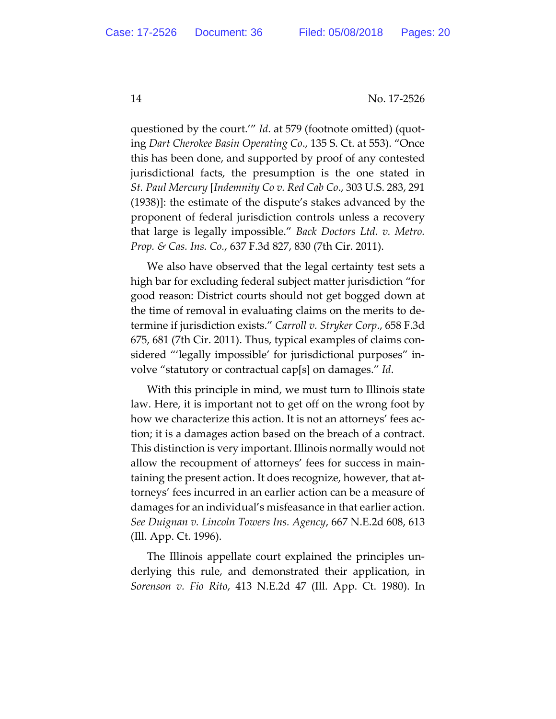questioned by the court.'" *Id*. at 579 (footnote omitted) (quoting *Dart Cherokee Basin Operating Co*., 135 S. Ct. at 553). "Once this has been done, and supported by proof of any contested jurisdictional facts, the presumption is the one stated in *St. Paul Mercury* [*Indemnity Co v. Red Cab Co*., 303 U.S. 283, 291 (1938)]: the estimate of the dispute's stakes advanced by the proponent of federal jurisdiction controls unless a recovery that large is legally impossible." *Back Doctors Ltd. v. Metro. Prop. & Cas. Ins. Co.*, 637 F.3d 827, 830 (7th Cir. 2011).

We also have observed that the legal certainty test sets a high bar for excluding federal subject matter jurisdiction "for good reason: District courts should not get bogged down at the time of removal in evaluating claims on the merits to determine if jurisdiction exists." *Carroll v. Stryker Corp*., 658 F.3d 675, 681 (7th Cir. 2011). Thus, typical examples of claims considered "'legally impossible' for jurisdictional purposes" involve "statutory or contractual cap[s] on damages." *Id*.

With this principle in mind, we must turn to Illinois state law. Here, it is important not to get off on the wrong foot by how we characterize this action. It is not an attorneys' fees action; it is a damages action based on the breach of a contract. This distinction is very important. Illinois normally would not allow the recoupment of attorneys' fees for success in maintaining the present action. It does recognize, however, that attorneys' fees incurred in an earlier action can be a measure of damages for an individual's misfeasance in that earlier action. *See Duignan v. Lincoln Towers Ins. Agency*, 667 N.E.2d 608, 613 (Ill. App. Ct. 1996).

The Illinois appellate court explained the principles underlying this rule, and demonstrated their application, in *Sorenson v. Fio Rito*, 413 N.E.2d 47 (Ill. App. Ct. 1980). In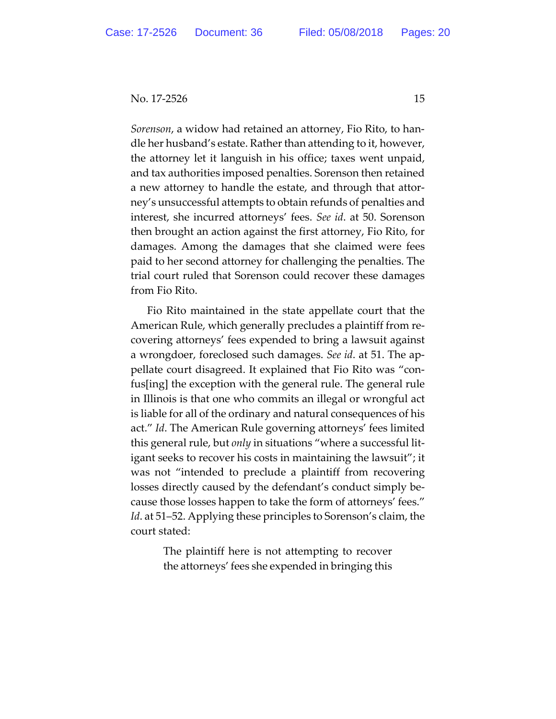*Sorenson*, a widow had retained an attorney, Fio Rito, to handle her husband's estate. Rather than attending to it, however, the attorney let it languish in his office; taxes went unpaid, and tax authorities imposed penalties. Sorenson then retained a new attorney to handle the estate, and through that attorney's unsuccessful attempts to obtain refunds of penalties and interest, she incurred attorneys' fees. *See id*. at 50. Sorenson then brought an action against the first attorney, Fio Rito, for damages. Among the damages that she claimed were fees paid to her second attorney for challenging the penalties. The trial court ruled that Sorenson could recover these damages from Fio Rito.

Fio Rito maintained in the state appellate court that the American Rule, which generally precludes a plaintiff from recovering attorneys' fees expended to bring a lawsuit against a wrongdoer, foreclosed such damages. *See id*. at 51. The appellate court disagreed. It explained that Fio Rito was "confus[ing] the exception with the general rule. The general rule in Illinois is that one who commits an illegal or wrongful act is liable for all of the ordinary and natural consequences of his act." *Id*. The American Rule governing attorneys' fees limited this general rule, but *only* in situations "where a successful litigant seeks to recover his costs in maintaining the lawsuit"; it was not "intended to preclude a plaintiff from recovering losses directly caused by the defendant's conduct simply because those losses happen to take the form of attorneys' fees." *Id*. at 51–52. Applying these principles to Sorenson's claim, the court stated:

> The plaintiff here is not attempting to recover the attorneys' fees she expended in bringing this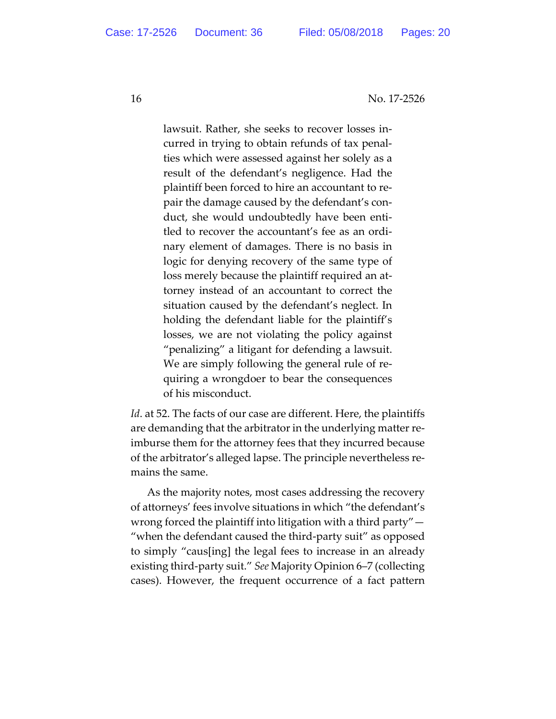lawsuit. Rather, she seeks to recover losses incurred in trying to obtain refunds of tax penalties which were assessed against her solely as a result of the defendant's negligence. Had the plaintiff been forced to hire an accountant to repair the damage caused by the defendant's conduct, she would undoubtedly have been entitled to recover the accountant's fee as an ordinary element of damages. There is no basis in logic for denying recovery of the same type of loss merely because the plaintiff required an attorney instead of an accountant to correct the situation caused by the defendant's neglect. In holding the defendant liable for the plaintiff's losses, we are not violating the policy against "penalizing" a litigant for defending a lawsuit. We are simply following the general rule of requiring a wrongdoer to bear the consequences of his misconduct.

*Id*. at 52. The facts of our case are different. Here, the plaintiffs are demanding that the arbitrator in the underlying matter reimburse them for the attorney fees that they incurred because of the arbitrator's alleged lapse. The principle nevertheless remains the same.

As the majority notes, most cases addressing the recovery of attorneys' fees involve situations in which "the defendant's wrong forced the plaintiff into litigation with a third party"— "when the defendant caused the third-party suit" as opposed to simply "caus[ing] the legal fees to increase in an already existing third-party suit." *See* Majority Opinion 6–7 (collecting cases). However, the frequent occurrence of a fact pattern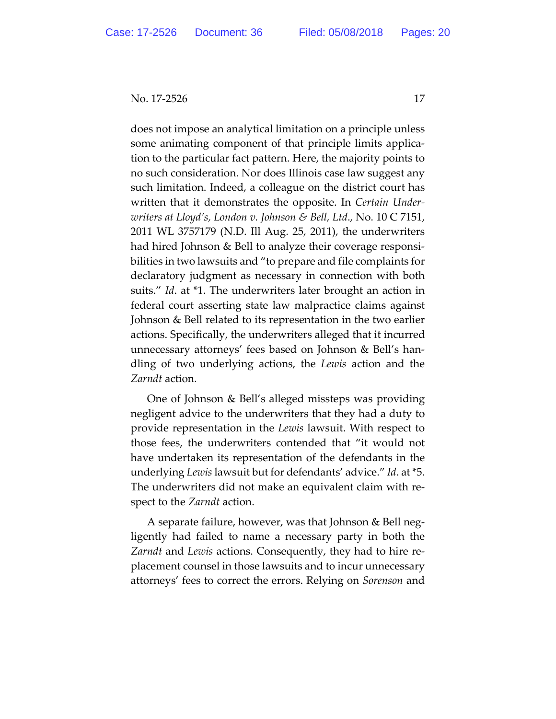does not impose an analytical limitation on a principle unless some animating component of that principle limits application to the particular fact pattern. Here, the majority points to no such consideration. Nor does Illinois case law suggest any such limitation. Indeed, a colleague on the district court has written that it demonstrates the opposite. In *Certain Underwriters at Lloyd's, London v. Johnson & Bell, Ltd*., No. 10 C 7151, 2011 WL 3757179 (N.D. Ill Aug. 25, 2011), the underwriters had hired Johnson & Bell to analyze their coverage responsibilities in two lawsuits and "to prepare and file complaints for declaratory judgment as necessary in connection with both suits." *Id*. at \*1. The underwriters later brought an action in federal court asserting state law malpractice claims against Johnson & Bell related to its representation in the two earlier actions. Specifically, the underwriters alleged that it incurred unnecessary attorneys' fees based on Johnson & Bell's handling of two underlying actions, the *Lewis* action and the *Zarndt* action.

One of Johnson & Bell's alleged missteps was providing negligent advice to the underwriters that they had a duty to provide representation in the *Lewis* lawsuit. With respect to those fees, the underwriters contended that "it would not have undertaken its representation of the defendants in the underlying *Lewis* lawsuit but for defendants' advice." *Id*. at \*5. The underwriters did not make an equivalent claim with respect to the *Zarndt* action.

A separate failure, however, was that Johnson & Bell negligently had failed to name a necessary party in both the *Zarndt* and *Lewis* actions. Consequently, they had to hire replacement counsel in those lawsuits and to incur unnecessary attorneys' fees to correct the errors. Relying on *Sorenson* and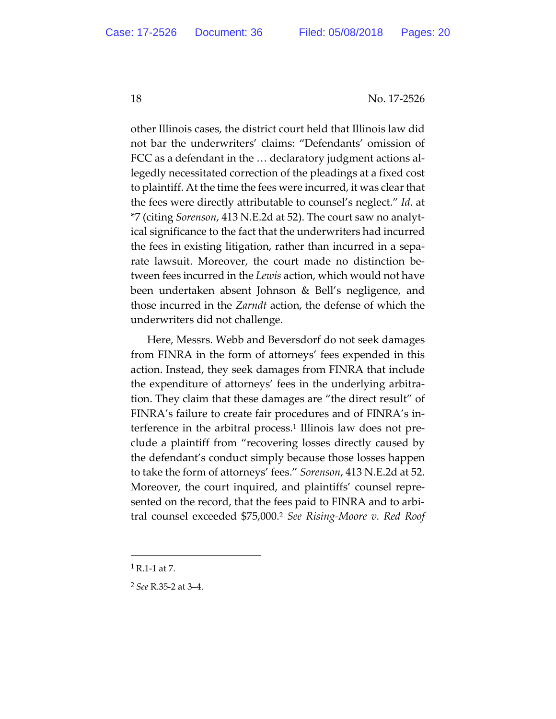other Illinois cases, the district court held that Illinois law did not bar the underwriters' claims: "Defendants' omission of FCC as a defendant in the … declaratory judgment actions allegedly necessitated correction of the pleadings at a fixed cost to plaintiff. At the time the fees were incurred, it was clear that the fees were directly attributable to counsel's neglect." *Id*. at \*7 (citing *Sorenson*, 413 N.E.2d at 52). The court saw no analytical significance to the fact that the underwriters had incurred the fees in existing litigation, rather than incurred in a separate lawsuit. Moreover, the court made no distinction between fees incurred in the *Lewis* action, which would not have been undertaken absent Johnson & Bell's negligence, and those incurred in the *Zarndt* action, the defense of which the underwriters did not challenge.

Here, Messrs. Webb and Beversdorf do not seek damages from FINRA in the form of attorneys' fees expended in this action. Instead, they seek damages from FINRA that include the expenditure of attorneys' fees in the underlying arbitration. They claim that these damages are "the direct result" of FINRA's failure to create fair procedures and of FINRA's interference in the arbitral process.<sup>1</sup> Illinois law does not preclude a plaintiff from "recovering losses directly caused by the defendant's conduct simply because those losses happen to take the form of attorneys' fees." *Sorenson*, 413 N.E.2d at 52. Moreover, the court inquired, and plaintiffs' counsel represented on the record, that the fees paid to FINRA and to arbitral counsel exceeded \$75,000.2 *See Rising-Moore v. Red Roof* 

 $\overline{a}$ 

 $1$  R.1-1 at 7.

<sup>2</sup> *See* R.35-2 at 3–4.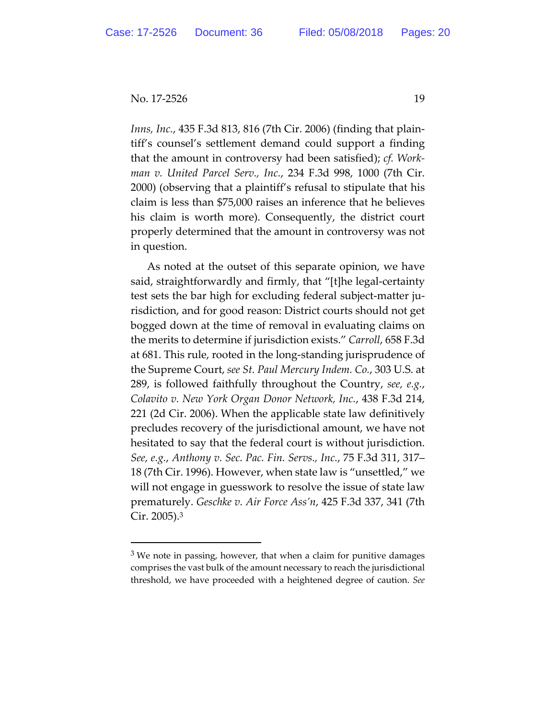$\overline{a}$ 

*Inns, Inc.*, 435 F.3d 813, 816 (7th Cir. 2006) (finding that plaintiff's counsel's settlement demand could support a finding that the amount in controversy had been satisfied); *cf. Workman v. United Parcel Serv., Inc.*, 234 F.3d 998, 1000 (7th Cir. 2000) (observing that a plaintiff's refusal to stipulate that his claim is less than \$75,000 raises an inference that he believes his claim is worth more). Consequently, the district court properly determined that the amount in controversy was not in question.

As noted at the outset of this separate opinion, we have said, straightforwardly and firmly, that "[t]he legal-certainty test sets the bar high for excluding federal subject-matter jurisdiction, and for good reason: District courts should not get bogged down at the time of removal in evaluating claims on the merits to determine if jurisdiction exists." *Carroll*, 658 F.3d at 681. This rule, rooted in the long-standing jurisprudence of the Supreme Court, *see St. Paul Mercury Indem. Co.*, 303 U.S. at 289, is followed faithfully throughout the Country, *see, e.g.*, *Colavito v. New York Organ Donor Network, Inc.*, 438 F.3d 214, 221 (2d Cir. 2006). When the applicable state law definitively precludes recovery of the jurisdictional amount, we have not hesitated to say that the federal court is without jurisdiction. *See, e.g.*, *Anthony v. Sec. Pac. Fin. Servs., Inc.*, 75 F.3d 311, 317– 18 (7th Cir. 1996). However, when state law is "unsettled," we will not engage in guesswork to resolve the issue of state law prematurely. *Geschke v. Air Force Ass'n*, 425 F.3d 337, 341 (7th Cir. 2005).3

 $3$  We note in passing, however, that when a claim for punitive damages comprises the vast bulk of the amount necessary to reach the jurisdictional threshold, we have proceeded with a heightened degree of caution. *See*